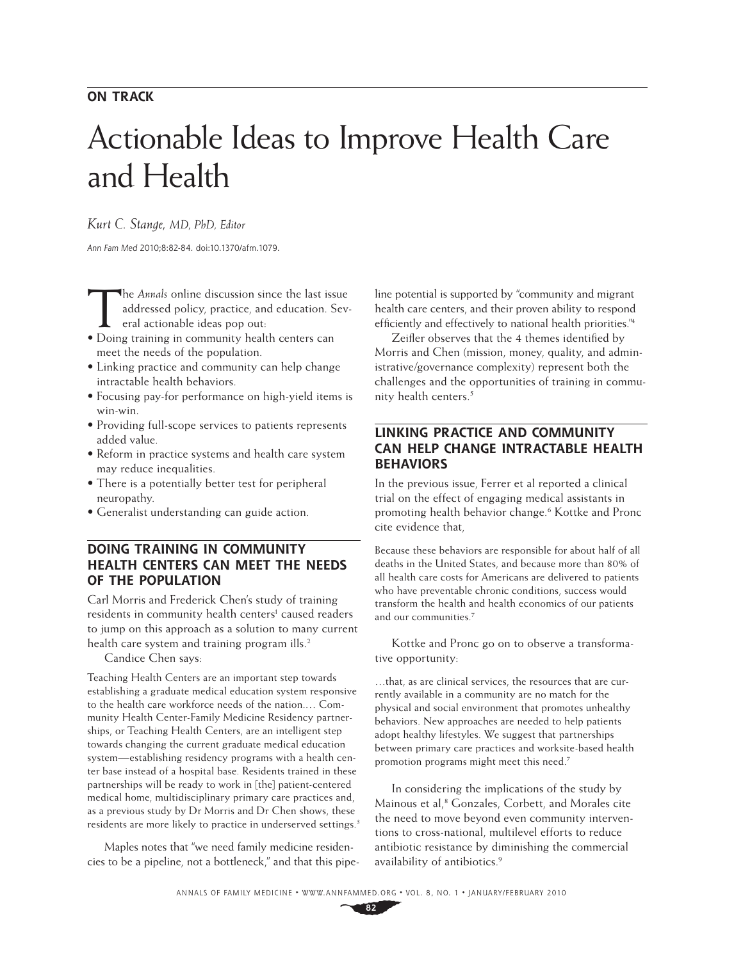## **ON TRACK**

# Actionable Ideas to Improve Health Care and Health

*Kurt C. Stange, MD, PhD, Editor*

Ann Fam Med 2010;8:82-84. doi:10.1370/afm.1079.

- The *Annals* online discussion since the last issue addressed policy, practice, and education. Several actionable ideas pop out:
- Doing training in community health centers can meet the needs of the population.
- Linking practice and community can help change intractable health behaviors.
- Focusing pay-for performance on high-yield items is win-win.
- Providing full-scope services to patients represents added value.
- Reform in practice systems and health care system may reduce inequalities.
- There is a potentially better test for peripheral neuropathy.
- Generalist understanding can guide action.

## **DOING TRAINING IN COMMUNITY HEALTH CENTERS CAN MEET THE NEEDS OF THE POPULATION**

Carl Morris and Frederick Chen's study of training residents in community health centers<sup>1</sup> caused readers to jump on this approach as a solution to many current health care system and training program ills.<sup>2</sup>

Candice Chen says:

 Teaching Health Centers are an important step towards establishing a graduate medical education system responsive to the health care workforce needs of the nation.… Community Health Center-Family Medicine Residency partnerships, or Teaching Health Centers, are an intelligent step towards changing the current graduate medical education system—establishing residency programs with a health center base instead of a hospital base. Residents trained in these partnerships will be ready to work in [the] patient-centered medical home, multidisciplinary primary care practices and, as a previous study by Dr Morris and Dr Chen shows, these residents are more likely to practice in underserved settings.<sup>3</sup>

Maples notes that "we need family medicine residencies to be a pipeline, not a bottleneck," and that this pipeline potential is supported by "community and migrant health care centers, and their proven ability to respond efficiently and effectively to national health priorities."4

Zeifler observes that the 4 themes identified by Morris and Chen (mission, money, quality, and administrative/governance complexity) represent both the challenges and the opportunities of training in community health centers.<sup>5</sup>

## **LINKING PRACTICE AND COMMUNITY CAN HELP CHANGE INTRACTABLE HEALTH BEHAVIORS**

In the previous issue, Ferrer et al reported a clinical trial on the effect of engaging medical assistants in promoting health behavior change.6 Kottke and Pronc cite evidence that,

 Because these behaviors are responsible for about half of all deaths in the United States, and because more than 80% of all health care costs for Americans are delivered to patients who have preventable chronic conditions, success would transform the health and health economics of our patients and our communities.<sup>7</sup>

Kottke and Pronc go on to observe a transformative opportunity:

…that, as are clinical services, the resources that are currently available in a community are no match for the physical and social environment that promotes unhealthy behaviors. New approaches are needed to help patients adopt healthy lifestyles. We suggest that partnerships between primary care practices and worksite-based health promotion programs might meet this need.7

In considering the implications of the study by Mainous et al,<sup>8</sup> Gonzales, Corbett, and Morales cite the need to move beyond even community interventions to cross-national, multilevel efforts to reduce antibiotic resistance by diminishing the commercial availability of antibiotics.<sup>9</sup>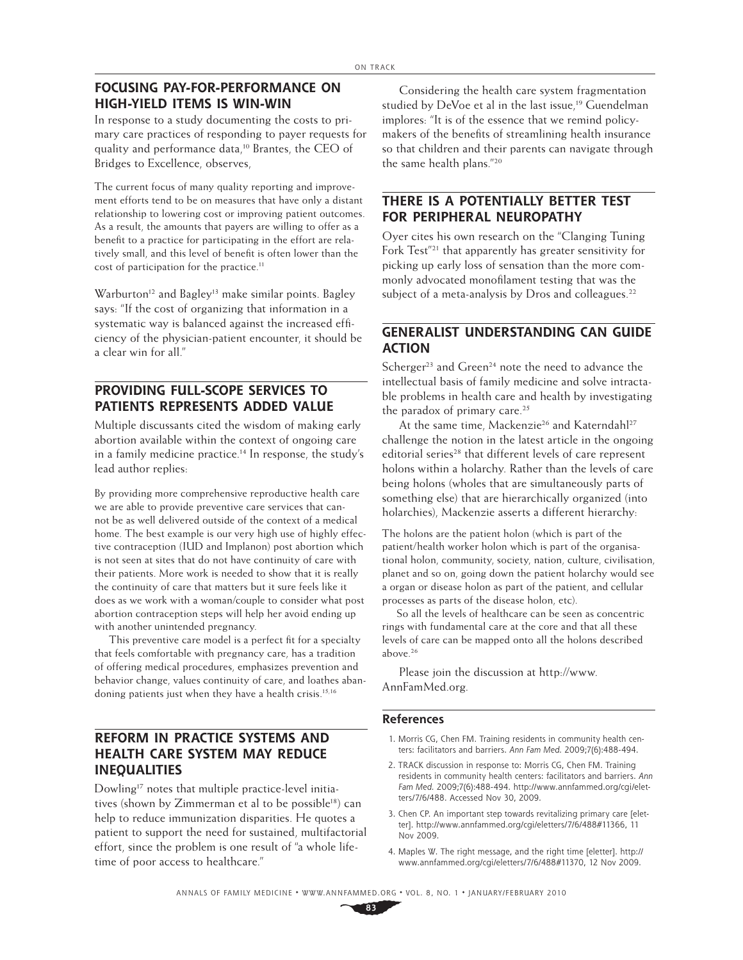#### **FOCUSING PAY-FOR-PERFORMANCE ON HIGH-YIELD ITEMS IS WIN-WIN**

In response to a study documenting the costs to primary care practices of responding to payer requests for quality and performance data,<sup>10</sup> Brantes, the CEO of Bridges to Excellence, observes,

The current focus of many quality reporting and improvement efforts tend to be on measures that have only a distant relationship to lowering cost or improving patient outcomes. As a result, the amounts that payers are willing to offer as a benefit to a practice for participating in the effort are relatively small, and this level of benefit is often lower than the cost of participation for the practice.<sup>11</sup>

 $Warburton<sup>12</sup>$  and Bagley<sup>13</sup> make similar points. Bagley says: "If the cost of organizing that information in a systematic way is balanced against the increased efficiency of the physician-patient encounter, it should be a clear win for all."

#### **PROVIDING FULL-SCOPE SERVICES TO PATIENTS REPRESENTS ADDED VALUE**

Multiple discussants cited the wisdom of making early abortion available within the context of ongoing care in a family medicine practice.<sup>14</sup> In response, the study's lead author replies:

By providing more comprehensive reproductive health care we are able to provide preventive care services that cannot be as well delivered outside of the context of a medical home. The best example is our very high use of highly effective contraception (IUD and Implanon) post abortion which is not seen at sites that do not have continuity of care with their patients. More work is needed to show that it is really the continuity of care that matters but it sure feels like it does as we work with a woman/couple to consider what post abortion contraception steps will help her avoid ending up with another unintended pregnancy.

This preventive care model is a perfect fit for a specialty that feels comfortable with pregnancy care, has a tradition of offering medical procedures, emphasizes prevention and behavior change, values continuity of care, and loathes abandoning patients just when they have a health crisis.<sup>15,16</sup>

**REFORM IN PRACTICE SYSTEMS AND HEALTH CARE SYSTEM MAY REDUCE INEQUALITIES**

Dowling<sup>17</sup> notes that multiple practice-level initiatives (shown by Zimmerman et al to be possible<sup>18</sup>) can help to reduce immunization disparities. He quotes a patient to support the need for sustained, multifactorial effort, since the problem is one result of "a whole lifetime of poor access to healthcare."

Considering the health care system fragmentation studied by DeVoe et al in the last issue,<sup>19</sup> Guendelman implores: "It is of the essence that we remind policymakers of the benefits of streamlining health insurance so that children and their parents can navigate through the same health plans."20

#### **THERE IS A POTENTIALLY BETTER TEST FOR PERIPHERAL NEUROPATHY**

Oyer cites his own research on the "Clanging Tuning Fork Test"21 that apparently has greater sensitivity for picking up early loss of sensation than the more commonly advocated monofilament testing that was the subject of a meta-analysis by Dros and colleagues.<sup>22</sup>

#### **GENERALIST UNDERSTANDING CAN GUIDE ACTION**

Scherger<sup>23</sup> and Green<sup>24</sup> note the need to advance the intellectual basis of family medicine and solve intractable problems in health care and health by investigating the paradox of primary care.<sup>25</sup>

At the same time, Mackenzie<sup>26</sup> and Katerndahl<sup>27</sup> challenge the notion in the latest article in the ongoing editorial series<sup>28</sup> that different levels of care represent holons within a holarchy. Rather than the levels of care being holons (wholes that are simultaneously parts of something else) that are hierarchically organized (into holarchies), Mackenzie asserts a different hierarchy:

The holons are the patient holon (which is part of the patient/health worker holon which is part of the organisational holon, community, society, nation, culture, civilisation, planet and so on, going down the patient holarchy would see a organ or disease holon as part of the patient, and cellular processes as parts of the disease holon, etc).

 So all the levels of healthcare can be seen as concentric rings with fundamental care at the core and that all these levels of care can be mapped onto all the holons described above.26

Please join the discussion at http://www. AnnFamMed.org.

#### **References**

- 1. Morris CG, Chen FM. Training residents in community health centers: facilitators and barriers. Ann Fam Med. 2009;7(6):488-494.
- 2. TRACK discussion in response to: Morris CG, Chen FM. Training residents in community health centers: facilitators and barriers. Ann Fam Med. 2009;7(6):488-494. http://www.annfammed.org/cgi/eletters/7/6/488. Accessed Nov 30, 2009.
- 3. Chen CP. An important step towards revitalizing primary care [eletter]. http://www.annfammed.org/cgi/eletters/7/6/488#11366, 11 Nov 2009.
- 4. Maples W. The right message, and the right time [eletter]. http:// www.annfammed.org/cgi/eletters/7/6/488#11370, 12 Nov 2009.

ANNALS OF FAMILY MEDICINE ✦ WWW.ANNFAMMED.ORG ✦ VOL. 8, NO. 1 ✦ JANUARY/FEBRUARY 2010

**83**